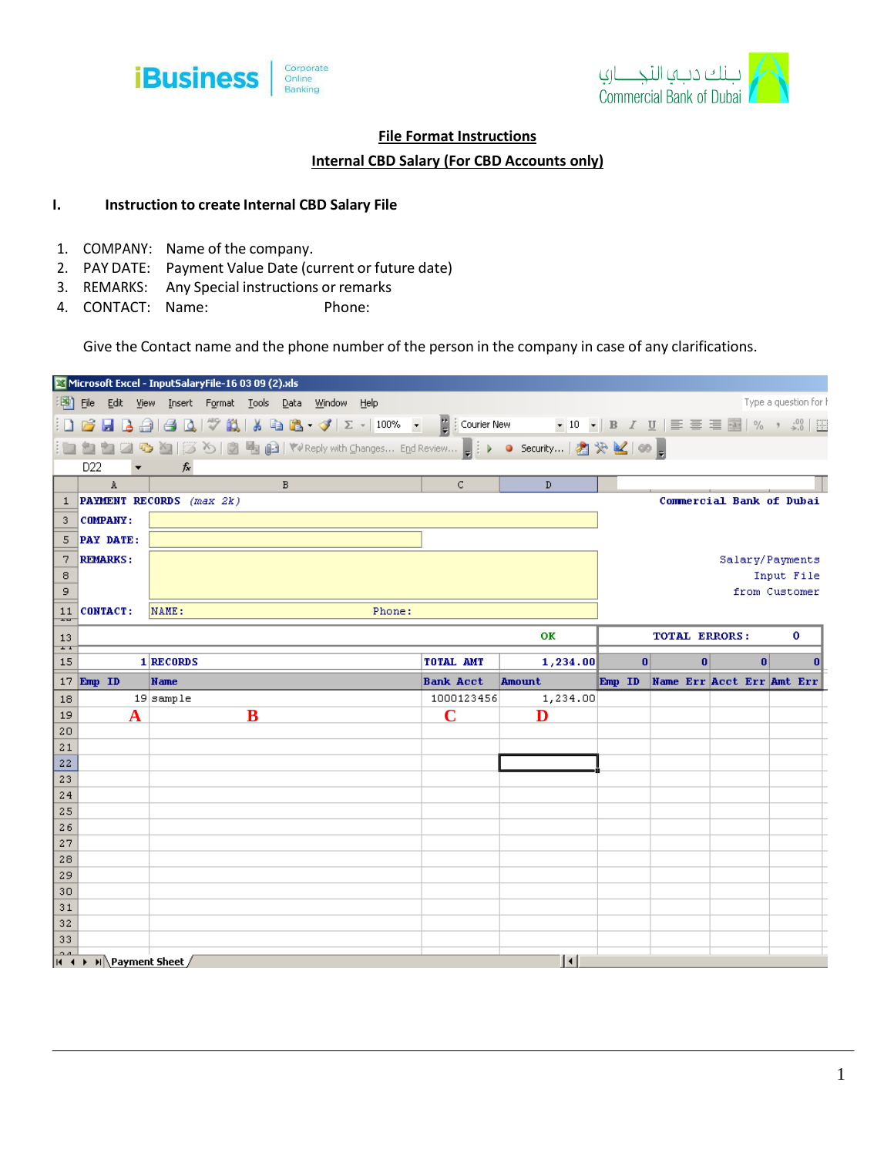



## **File Format Instructions**

## **Internal CBD Salary (For CBD Accounts only)**

## **I. Instruction to create Internal CBD Salary File**

- 1. COMPANY: Name of the company.
- 2. PAY DATE: Payment Value Date (current or future date)
- 3. REMARKS: Any Special instructions or remarks
- 4. CONTACT: Name: Phone:

Give the Contact name and the phone number of the person in the company in case of any clarifications.

|                                                                                                                                             |                                                        | Microsoft Excel - InputSalaryFile-16 03 09 (2).xls                                |                  |                     |          |                                  |          |                       |  |
|---------------------------------------------------------------------------------------------------------------------------------------------|--------------------------------------------------------|-----------------------------------------------------------------------------------|------------------|---------------------|----------|----------------------------------|----------|-----------------------|--|
| 国)                                                                                                                                          | File Edit View Insert Format Tools Data Window<br>Help |                                                                                   |                  |                     |          |                                  |          | Type a question for h |  |
|                                                                                                                                             |                                                        | BBBBBBCI♡BIXBB-3/IΣ- 100%FF; Courier New F10-IBIU   言言言国  %,☆ ; ; ; ; ; ; ; ; ; ; |                  |                     |          |                                  |          |                       |  |
|                                                                                                                                             |                                                        |                                                                                   |                  |                     |          |                                  |          |                       |  |
| D <sub>22</sub><br>$f_{x}% ^{r}=\int_{0}^{T}f_{y}\left( t\right) \cdot T_{y}\left( t\right) \cdot T_{x}^{r}\left( t\right) \cdot T_{y}^{r}$ |                                                        |                                                                                   |                  |                     |          |                                  |          |                       |  |
|                                                                                                                                             | A                                                      | B                                                                                 | $\mathsf{C}$     | D                   |          |                                  |          |                       |  |
| 1                                                                                                                                           | PAYMENT RECORDS (max 2k)                               |                                                                                   |                  |                     |          | Commercial Bank of Dubai         |          |                       |  |
| 3                                                                                                                                           | <b>COMPANY:</b>                                        |                                                                                   |                  |                     |          |                                  |          |                       |  |
| 5                                                                                                                                           | PAY DATE:                                              |                                                                                   |                  |                     |          |                                  |          |                       |  |
| 7                                                                                                                                           | <b>REMARKS:</b>                                        |                                                                                   |                  |                     |          |                                  |          | Salary/Payments       |  |
| 8                                                                                                                                           |                                                        |                                                                                   |                  |                     |          |                                  |          | Input File            |  |
| 9                                                                                                                                           |                                                        |                                                                                   |                  |                     |          |                                  |          | from Customer         |  |
| 11<br>$\overline{1}$                                                                                                                        | <b>CONTACT:</b><br>NAME:<br>Phone:                     |                                                                                   |                  |                     |          |                                  |          |                       |  |
| 13                                                                                                                                          | OК                                                     |                                                                                   |                  |                     |          | <b>TOTAL ERRORS:</b><br>0        |          |                       |  |
| $\overline{1}$<br>15                                                                                                                        |                                                        | 1 RECORDS                                                                         | TOTAL AMT        | 1,234.00            | $\bf{0}$ | $\bf{0}$                         | $\bf{0}$ | 0                     |  |
|                                                                                                                                             |                                                        |                                                                                   |                  |                     |          |                                  |          |                       |  |
|                                                                                                                                             | 17 Emp ID                                              | Name                                                                              | <b>Bank Acct</b> | Amount              |          | Emp ID Name Err Acct Err Amt Err |          |                       |  |
| 18                                                                                                                                          |                                                        | $19$ sample                                                                       | 1000123456       | 1,234.00            |          |                                  |          |                       |  |
| 19                                                                                                                                          |                                                        | $\overline{\mathbf{B}}$                                                           | $\overline{C}$   | D                   |          |                                  |          |                       |  |
| 20                                                                                                                                          |                                                        |                                                                                   |                  |                     |          |                                  |          |                       |  |
| 21                                                                                                                                          |                                                        |                                                                                   |                  |                     |          |                                  |          |                       |  |
| 22<br>23                                                                                                                                    |                                                        |                                                                                   |                  |                     |          |                                  |          |                       |  |
| 24                                                                                                                                          |                                                        |                                                                                   |                  |                     |          |                                  |          |                       |  |
| 25                                                                                                                                          |                                                        |                                                                                   |                  |                     |          |                                  |          |                       |  |
| 26                                                                                                                                          |                                                        |                                                                                   |                  |                     |          |                                  |          |                       |  |
| 27                                                                                                                                          |                                                        |                                                                                   |                  |                     |          |                                  |          |                       |  |
| 28<br>29                                                                                                                                    |                                                        |                                                                                   |                  |                     |          |                                  |          |                       |  |
| 30                                                                                                                                          |                                                        |                                                                                   |                  |                     |          |                                  |          |                       |  |
| 31                                                                                                                                          |                                                        |                                                                                   |                  |                     |          |                                  |          |                       |  |
| 32                                                                                                                                          |                                                        |                                                                                   |                  |                     |          |                                  |          |                       |  |
| 33                                                                                                                                          | $H \rightarrow H\$ Payment Sheet /                     |                                                                                   |                  | $\vert \cdot \vert$ |          |                                  |          |                       |  |